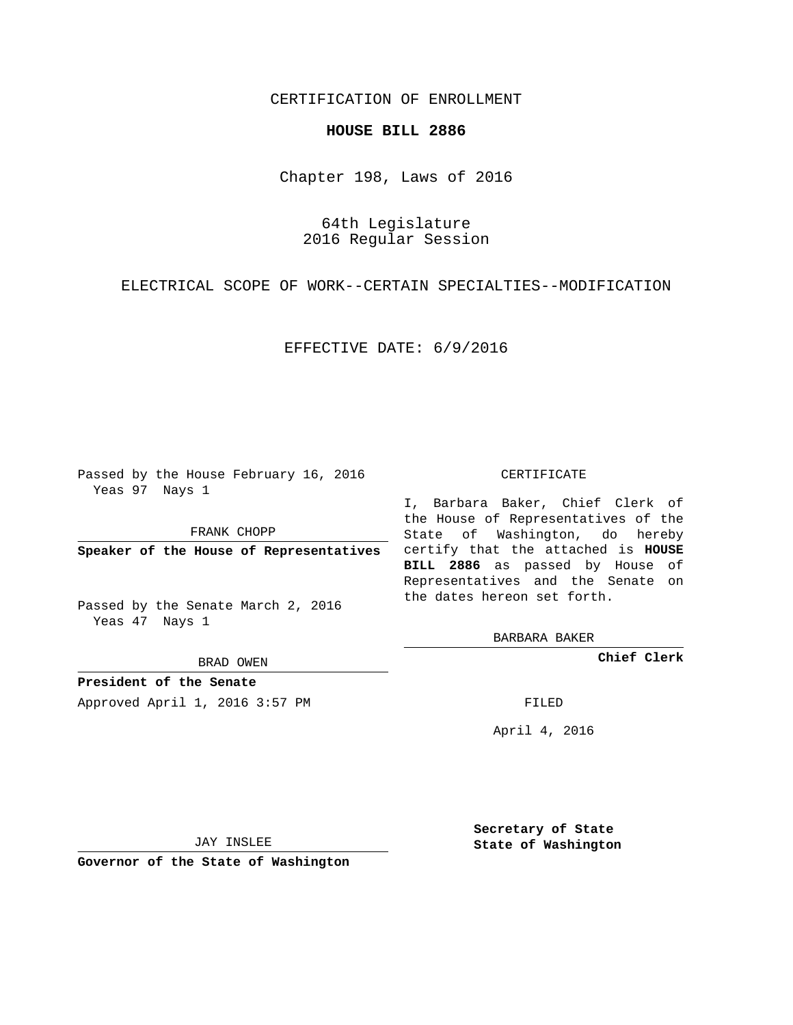## CERTIFICATION OF ENROLLMENT

### **HOUSE BILL 2886**

Chapter 198, Laws of 2016

64th Legislature 2016 Regular Session

ELECTRICAL SCOPE OF WORK--CERTAIN SPECIALTIES--MODIFICATION

### EFFECTIVE DATE: 6/9/2016

Passed by the House February 16, 2016 Yeas 97 Nays 1

FRANK CHOPP

Passed by the Senate March 2, 2016 Yeas 47 Nays 1

BRAD OWEN

**President of the Senate**

Approved April 1, 2016 3:57 PM FILED

#### CERTIFICATE

**Speaker of the House of Representatives** certify that the attached is **HOUSE** I, Barbara Baker, Chief Clerk of the House of Representatives of the State of Washington, do hereby **BILL 2886** as passed by House of Representatives and the Senate on the dates hereon set forth.

BARBARA BAKER

**Chief Clerk**

April 4, 2016

JAY INSLEE

**Governor of the State of Washington**

**Secretary of State State of Washington**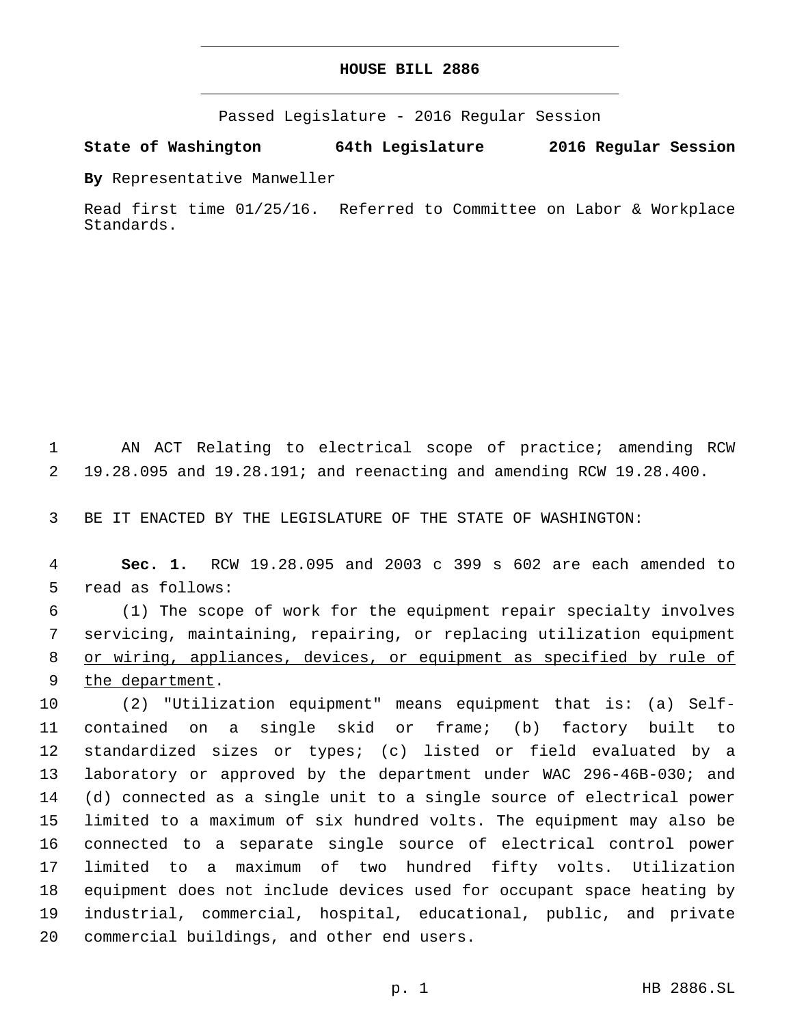# **HOUSE BILL 2886**

Passed Legislature - 2016 Regular Session

**State of Washington 64th Legislature 2016 Regular Session**

**By** Representative Manweller

Read first time 01/25/16. Referred to Committee on Labor & Workplace Standards.

 AN ACT Relating to electrical scope of practice; amending RCW 19.28.095 and 19.28.191; and reenacting and amending RCW 19.28.400.

BE IT ENACTED BY THE LEGISLATURE OF THE STATE OF WASHINGTON:

 **Sec. 1.** RCW 19.28.095 and 2003 c 399 s 602 are each amended to 5 read as follows:

 (1) The scope of work for the equipment repair specialty involves servicing, maintaining, repairing, or replacing utilization equipment or wiring, appliances, devices, or equipment as specified by rule of 9 the department.

 (2) "Utilization equipment" means equipment that is: (a) Self- contained on a single skid or frame; (b) factory built to standardized sizes or types; (c) listed or field evaluated by a laboratory or approved by the department under WAC 296-46B-030; and (d) connected as a single unit to a single source of electrical power limited to a maximum of six hundred volts. The equipment may also be connected to a separate single source of electrical control power limited to a maximum of two hundred fifty volts. Utilization equipment does not include devices used for occupant space heating by industrial, commercial, hospital, educational, public, and private 20 commercial buildings, and other end users.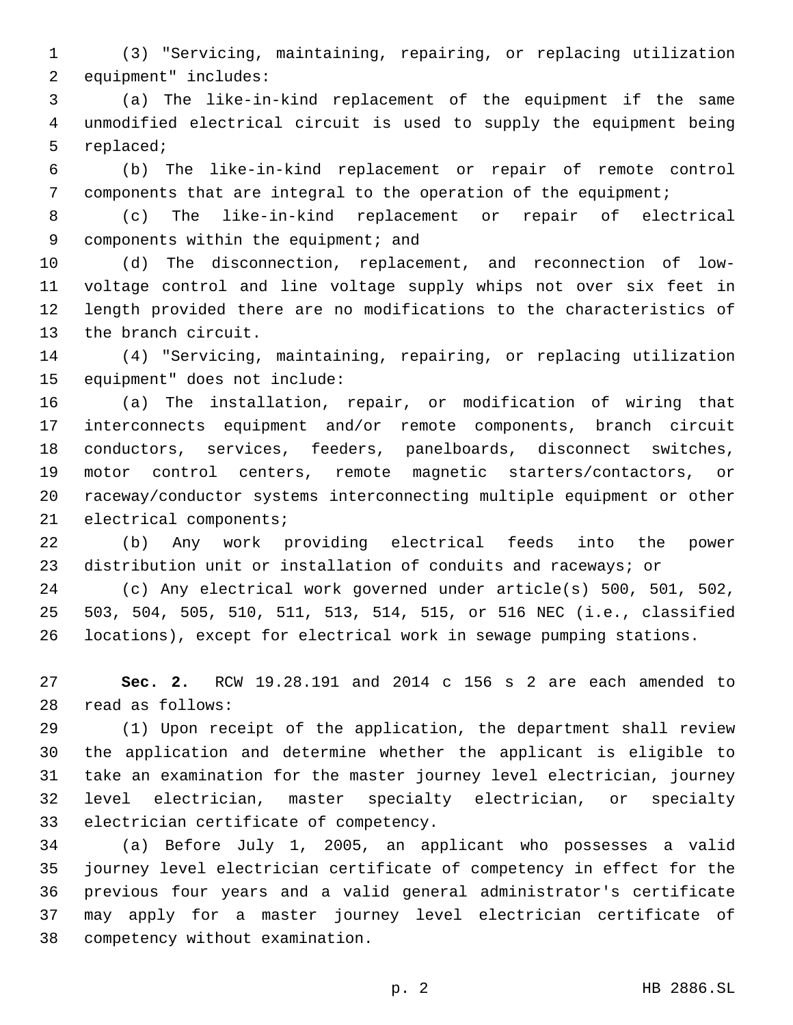(3) "Servicing, maintaining, repairing, or replacing utilization 2 equipment" includes:

 (a) The like-in-kind replacement of the equipment if the same unmodified electrical circuit is used to supply the equipment being 5 replaced;

 (b) The like-in-kind replacement or repair of remote control components that are integral to the operation of the equipment;

 (c) The like-in-kind replacement or repair of electrical 9 components within the equipment; and

 (d) The disconnection, replacement, and reconnection of low- voltage control and line voltage supply whips not over six feet in length provided there are no modifications to the characteristics of 13 the branch circuit.

 (4) "Servicing, maintaining, repairing, or replacing utilization 15 equipment" does not include:

 (a) The installation, repair, or modification of wiring that interconnects equipment and/or remote components, branch circuit conductors, services, feeders, panelboards, disconnect switches, motor control centers, remote magnetic starters/contactors, or raceway/conductor systems interconnecting multiple equipment or other 21 electrical components;

 (b) Any work providing electrical feeds into the power distribution unit or installation of conduits and raceways; or

 (c) Any electrical work governed under article(s) 500, 501, 502, 503, 504, 505, 510, 511, 513, 514, 515, or 516 NEC (i.e., classified locations), except for electrical work in sewage pumping stations.

 **Sec. 2.** RCW 19.28.191 and 2014 c 156 s 2 are each amended to read as follows:28

 (1) Upon receipt of the application, the department shall review the application and determine whether the applicant is eligible to take an examination for the master journey level electrician, journey level electrician, master specialty electrician, or specialty 33 electrician certificate of competency.

 (a) Before July 1, 2005, an applicant who possesses a valid journey level electrician certificate of competency in effect for the previous four years and a valid general administrator's certificate may apply for a master journey level electrician certificate of 38 competency without examination.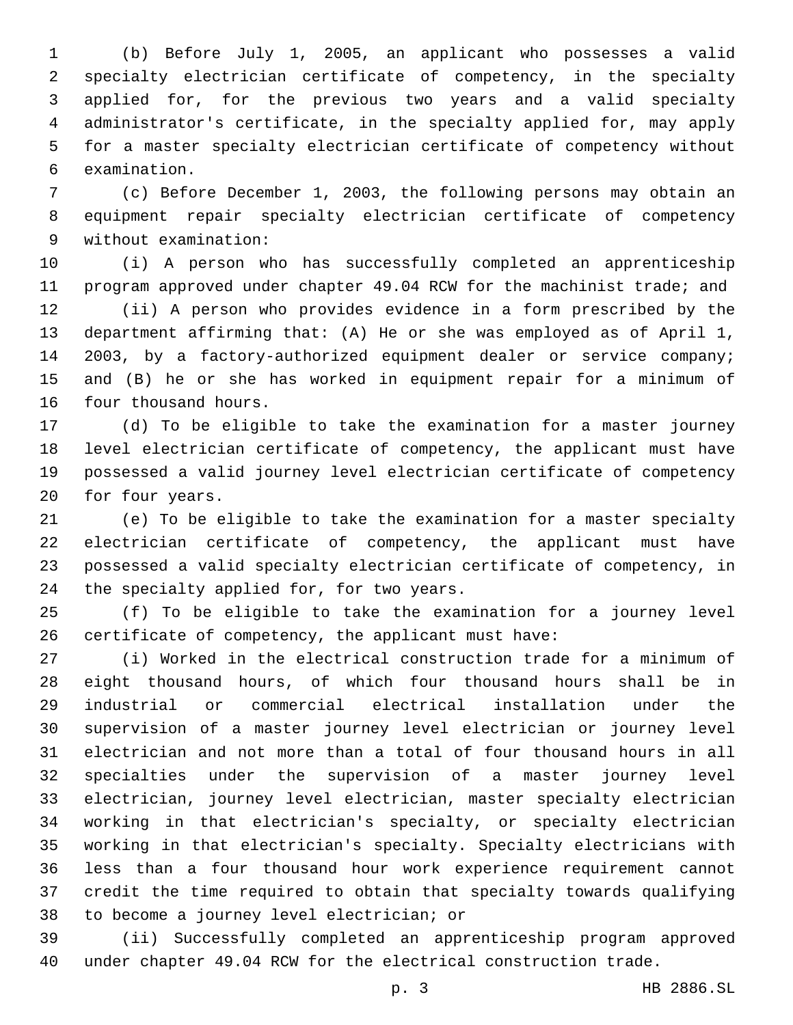(b) Before July 1, 2005, an applicant who possesses a valid specialty electrician certificate of competency, in the specialty applied for, for the previous two years and a valid specialty administrator's certificate, in the specialty applied for, may apply for a master specialty electrician certificate of competency without 6 examination.

 (c) Before December 1, 2003, the following persons may obtain an equipment repair specialty electrician certificate of competency without examination:9

 (i) A person who has successfully completed an apprenticeship program approved under chapter 49.04 RCW for the machinist trade; and

 (ii) A person who provides evidence in a form prescribed by the department affirming that: (A) He or she was employed as of April 1, 2003, by a factory-authorized equipment dealer or service company; and (B) he or she has worked in equipment repair for a minimum of 16 four thousand hours.

 (d) To be eligible to take the examination for a master journey level electrician certificate of competency, the applicant must have possessed a valid journey level electrician certificate of competency 20 for four years.

 (e) To be eligible to take the examination for a master specialty electrician certificate of competency, the applicant must have possessed a valid specialty electrician certificate of competency, in 24 the specialty applied for, for two years.

 (f) To be eligible to take the examination for a journey level certificate of competency, the applicant must have:

 (i) Worked in the electrical construction trade for a minimum of eight thousand hours, of which four thousand hours shall be in industrial or commercial electrical installation under the supervision of a master journey level electrician or journey level electrician and not more than a total of four thousand hours in all specialties under the supervision of a master journey level electrician, journey level electrician, master specialty electrician working in that electrician's specialty, or specialty electrician working in that electrician's specialty. Specialty electricians with less than a four thousand hour work experience requirement cannot credit the time required to obtain that specialty towards qualifying 38 to become a journey level electrician; or

 (ii) Successfully completed an apprenticeship program approved under chapter 49.04 RCW for the electrical construction trade.

p. 3 HB 2886.SL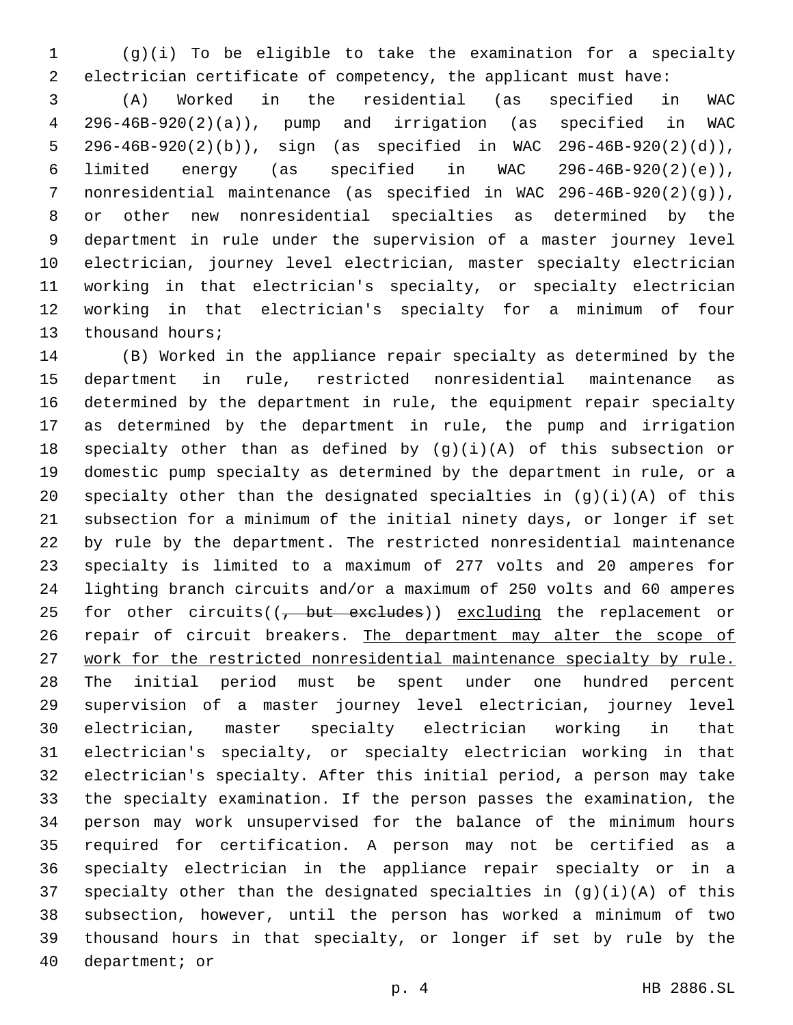(g)(i) To be eligible to take the examination for a specialty electrician certificate of competency, the applicant must have:

 (A) Worked in the residential (as specified in WAC 296-46B-920(2)(a)), pump and irrigation (as specified in WAC 296-46B-920(2)(b)), sign (as specified in WAC 296-46B-920(2)(d)), limited energy (as specified in WAC 296-46B-920(2)(e)), nonresidential maintenance (as specified in WAC 296-46B-920(2)(g)), or other new nonresidential specialties as determined by the department in rule under the supervision of a master journey level electrician, journey level electrician, master specialty electrician working in that electrician's specialty, or specialty electrician working in that electrician's specialty for a minimum of four 13 thousand hours;

 (B) Worked in the appliance repair specialty as determined by the department in rule, restricted nonresidential maintenance as determined by the department in rule, the equipment repair specialty as determined by the department in rule, the pump and irrigation specialty other than as defined by (g)(i)(A) of this subsection or domestic pump specialty as determined by the department in rule, or a specialty other than the designated specialties in (g)(i)(A) of this subsection for a minimum of the initial ninety days, or longer if set by rule by the department. The restricted nonresidential maintenance specialty is limited to a maximum of 277 volts and 20 amperes for lighting branch circuits and/or a maximum of 250 volts and 60 amperes 25 for other circuits( $(-$  but excludes)) excluding the replacement or 26 repair of circuit breakers. The department may alter the scope of work for the restricted nonresidential maintenance specialty by rule. The initial period must be spent under one hundred percent supervision of a master journey level electrician, journey level electrician, master specialty electrician working in that electrician's specialty, or specialty electrician working in that electrician's specialty. After this initial period, a person may take the specialty examination. If the person passes the examination, the person may work unsupervised for the balance of the minimum hours required for certification. A person may not be certified as a specialty electrician in the appliance repair specialty or in a specialty other than the designated specialties in (g)(i)(A) of this subsection, however, until the person has worked a minimum of two thousand hours in that specialty, or longer if set by rule by the 40 department; or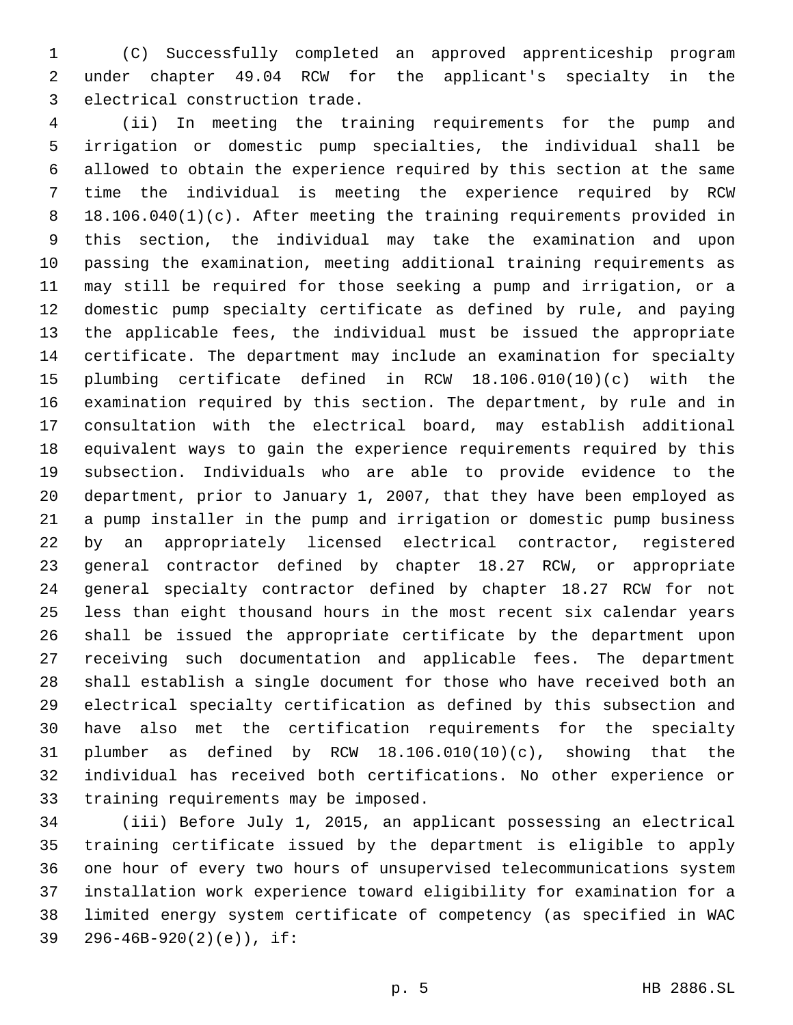(C) Successfully completed an approved apprenticeship program under chapter 49.04 RCW for the applicant's specialty in the 3 electrical construction trade.

 (ii) In meeting the training requirements for the pump and irrigation or domestic pump specialties, the individual shall be allowed to obtain the experience required by this section at the same time the individual is meeting the experience required by RCW 18.106.040(1)(c). After meeting the training requirements provided in this section, the individual may take the examination and upon passing the examination, meeting additional training requirements as may still be required for those seeking a pump and irrigation, or a domestic pump specialty certificate as defined by rule, and paying the applicable fees, the individual must be issued the appropriate certificate. The department may include an examination for specialty plumbing certificate defined in RCW 18.106.010(10)(c) with the examination required by this section. The department, by rule and in consultation with the electrical board, may establish additional equivalent ways to gain the experience requirements required by this subsection. Individuals who are able to provide evidence to the department, prior to January 1, 2007, that they have been employed as a pump installer in the pump and irrigation or domestic pump business by an appropriately licensed electrical contractor, registered general contractor defined by chapter 18.27 RCW, or appropriate general specialty contractor defined by chapter 18.27 RCW for not less than eight thousand hours in the most recent six calendar years shall be issued the appropriate certificate by the department upon receiving such documentation and applicable fees. The department shall establish a single document for those who have received both an electrical specialty certification as defined by this subsection and have also met the certification requirements for the specialty plumber as defined by RCW 18.106.010(10)(c), showing that the individual has received both certifications. No other experience or 33 training requirements may be imposed.

 (iii) Before July 1, 2015, an applicant possessing an electrical training certificate issued by the department is eligible to apply one hour of every two hours of unsupervised telecommunications system installation work experience toward eligibility for examination for a limited energy system certificate of competency (as specified in WAC 39 296-46B-920(2)(e)), if: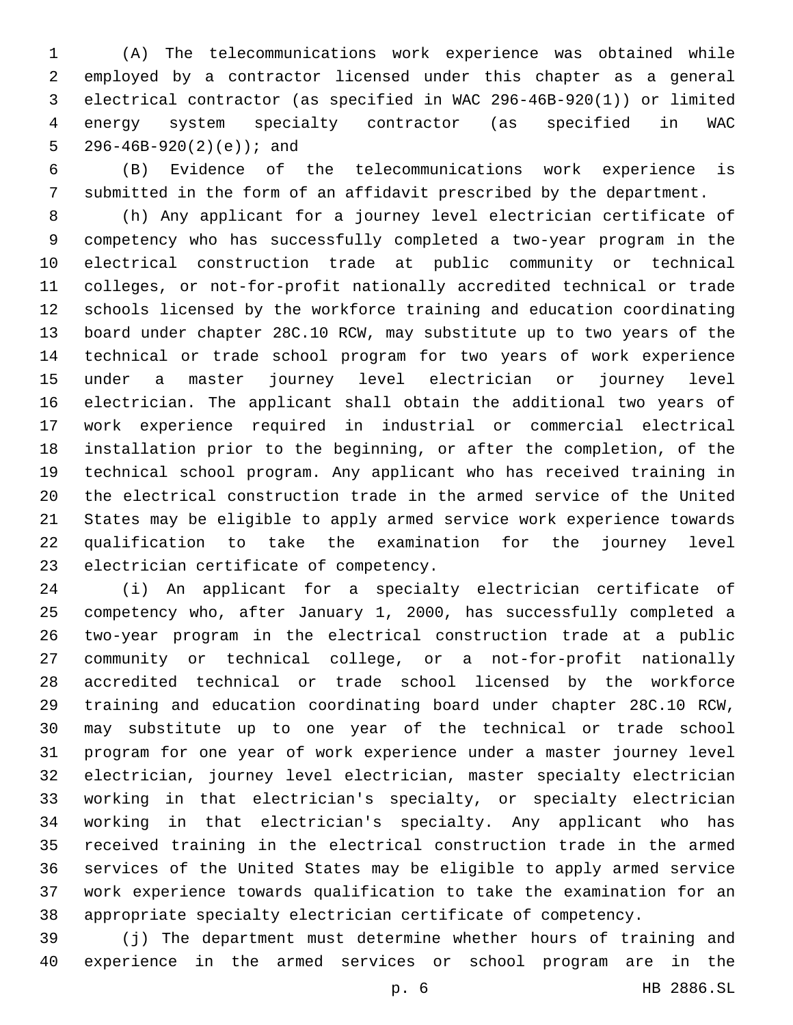(A) The telecommunications work experience was obtained while employed by a contractor licensed under this chapter as a general electrical contractor (as specified in WAC 296-46B-920(1)) or limited energy system specialty contractor (as specified in WAC  $296-46B-920(2)(e)$ ; and

 (B) Evidence of the telecommunications work experience is submitted in the form of an affidavit prescribed by the department.

 (h) Any applicant for a journey level electrician certificate of competency who has successfully completed a two-year program in the electrical construction trade at public community or technical colleges, or not-for-profit nationally accredited technical or trade schools licensed by the workforce training and education coordinating board under chapter 28C.10 RCW, may substitute up to two years of the technical or trade school program for two years of work experience under a master journey level electrician or journey level electrician. The applicant shall obtain the additional two years of work experience required in industrial or commercial electrical installation prior to the beginning, or after the completion, of the technical school program. Any applicant who has received training in the electrical construction trade in the armed service of the United States may be eligible to apply armed service work experience towards qualification to take the examination for the journey level 23 electrician certificate of competency.

 (i) An applicant for a specialty electrician certificate of competency who, after January 1, 2000, has successfully completed a two-year program in the electrical construction trade at a public community or technical college, or a not-for-profit nationally accredited technical or trade school licensed by the workforce training and education coordinating board under chapter 28C.10 RCW, may substitute up to one year of the technical or trade school program for one year of work experience under a master journey level electrician, journey level electrician, master specialty electrician working in that electrician's specialty, or specialty electrician working in that electrician's specialty. Any applicant who has received training in the electrical construction trade in the armed services of the United States may be eligible to apply armed service work experience towards qualification to take the examination for an appropriate specialty electrician certificate of competency.

 (j) The department must determine whether hours of training and experience in the armed services or school program are in the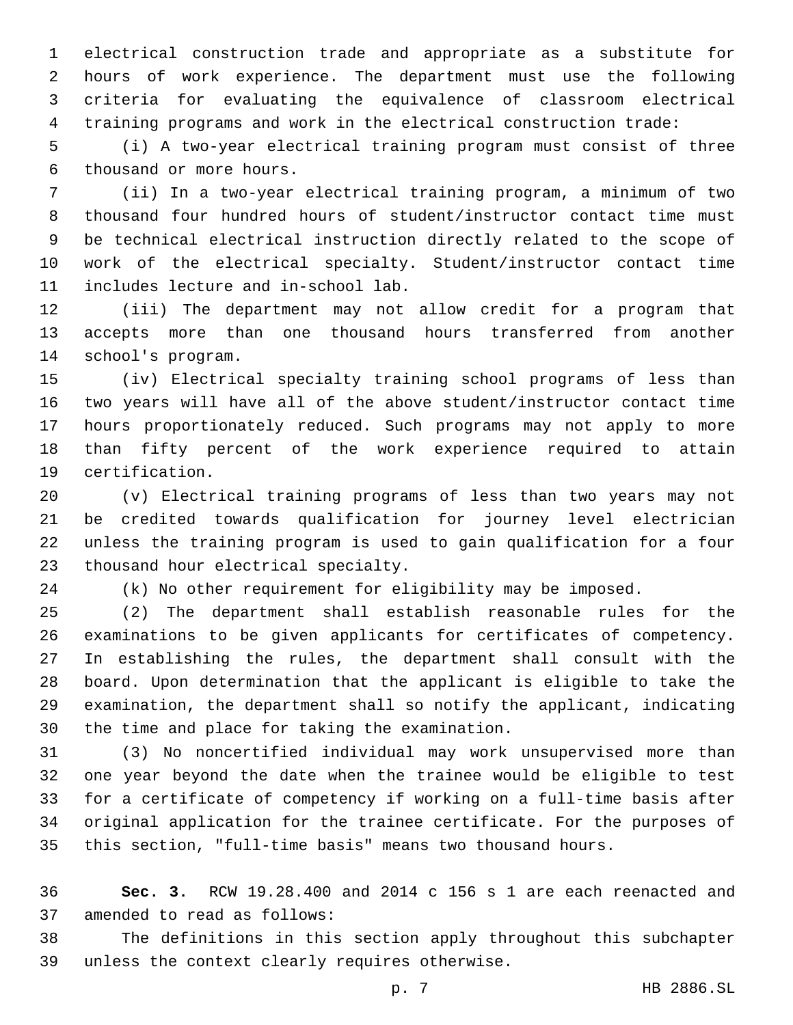electrical construction trade and appropriate as a substitute for hours of work experience. The department must use the following criteria for evaluating the equivalence of classroom electrical training programs and work in the electrical construction trade:

 (i) A two-year electrical training program must consist of three 6 thousand or more hours.

 (ii) In a two-year electrical training program, a minimum of two thousand four hundred hours of student/instructor contact time must be technical electrical instruction directly related to the scope of work of the electrical specialty. Student/instructor contact time 11 includes lecture and in-school lab.

 (iii) The department may not allow credit for a program that accepts more than one thousand hours transferred from another 14 school's program.

 (iv) Electrical specialty training school programs of less than two years will have all of the above student/instructor contact time hours proportionately reduced. Such programs may not apply to more than fifty percent of the work experience required to attain 19 certification.

 (v) Electrical training programs of less than two years may not be credited towards qualification for journey level electrician unless the training program is used to gain qualification for a four 23 thousand hour electrical specialty.

(k) No other requirement for eligibility may be imposed.

 (2) The department shall establish reasonable rules for the examinations to be given applicants for certificates of competency. In establishing the rules, the department shall consult with the board. Upon determination that the applicant is eligible to take the examination, the department shall so notify the applicant, indicating 30 the time and place for taking the examination.

 (3) No noncertified individual may work unsupervised more than one year beyond the date when the trainee would be eligible to test for a certificate of competency if working on a full-time basis after original application for the trainee certificate. For the purposes of this section, "full-time basis" means two thousand hours.

 **Sec. 3.** RCW 19.28.400 and 2014 c 156 s 1 are each reenacted and 37 amended to read as follows:

 The definitions in this section apply throughout this subchapter 39 unless the context clearly requires otherwise.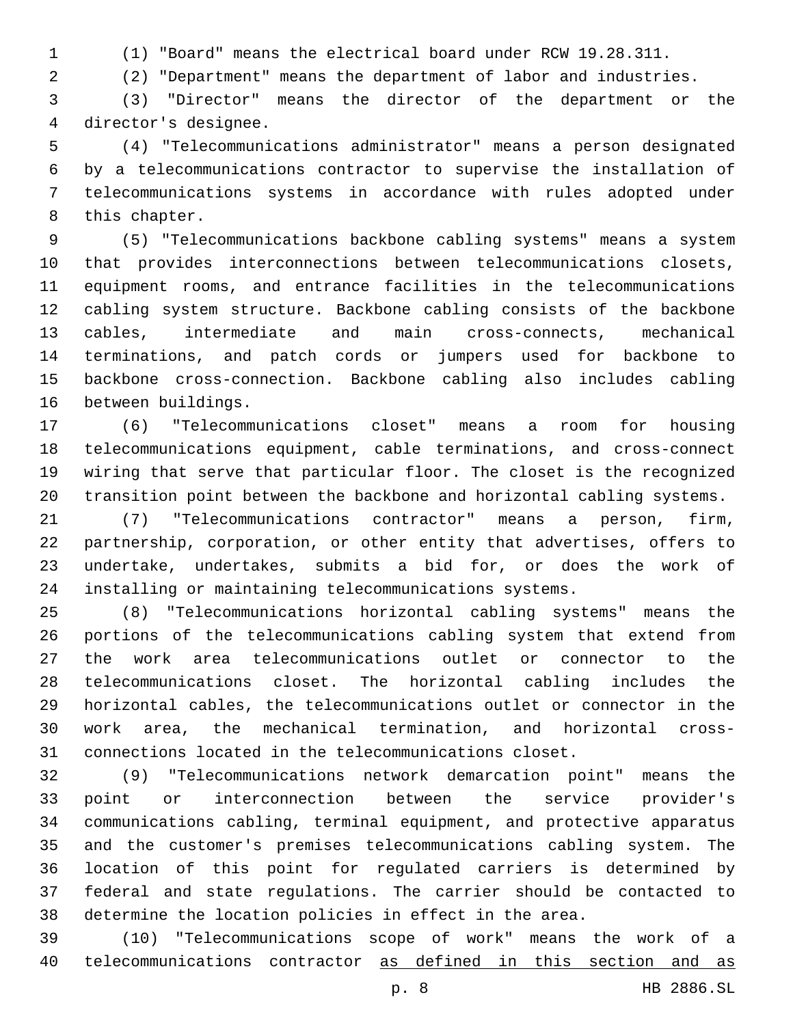(1) "Board" means the electrical board under RCW 19.28.311.

(2) "Department" means the department of labor and industries.

 (3) "Director" means the director of the department or the 4 director's designee.

 (4) "Telecommunications administrator" means a person designated by a telecommunications contractor to supervise the installation of telecommunications systems in accordance with rules adopted under 8 this chapter.

 (5) "Telecommunications backbone cabling systems" means a system that provides interconnections between telecommunications closets, equipment rooms, and entrance facilities in the telecommunications cabling system structure. Backbone cabling consists of the backbone cables, intermediate and main cross-connects, mechanical terminations, and patch cords or jumpers used for backbone to backbone cross-connection. Backbone cabling also includes cabling 16 between buildings.

 (6) "Telecommunications closet" means a room for housing telecommunications equipment, cable terminations, and cross-connect wiring that serve that particular floor. The closet is the recognized transition point between the backbone and horizontal cabling systems.

 (7) "Telecommunications contractor" means a person, firm, partnership, corporation, or other entity that advertises, offers to undertake, undertakes, submits a bid for, or does the work of installing or maintaining telecommunications systems.

 (8) "Telecommunications horizontal cabling systems" means the portions of the telecommunications cabling system that extend from the work area telecommunications outlet or connector to the telecommunications closet. The horizontal cabling includes the horizontal cables, the telecommunications outlet or connector in the work area, the mechanical termination, and horizontal cross-connections located in the telecommunications closet.

 (9) "Telecommunications network demarcation point" means the point or interconnection between the service provider's communications cabling, terminal equipment, and protective apparatus and the customer's premises telecommunications cabling system. The location of this point for regulated carriers is determined by federal and state regulations. The carrier should be contacted to determine the location policies in effect in the area.

 (10) "Telecommunications scope of work" means the work of a telecommunications contractor as defined in this section and as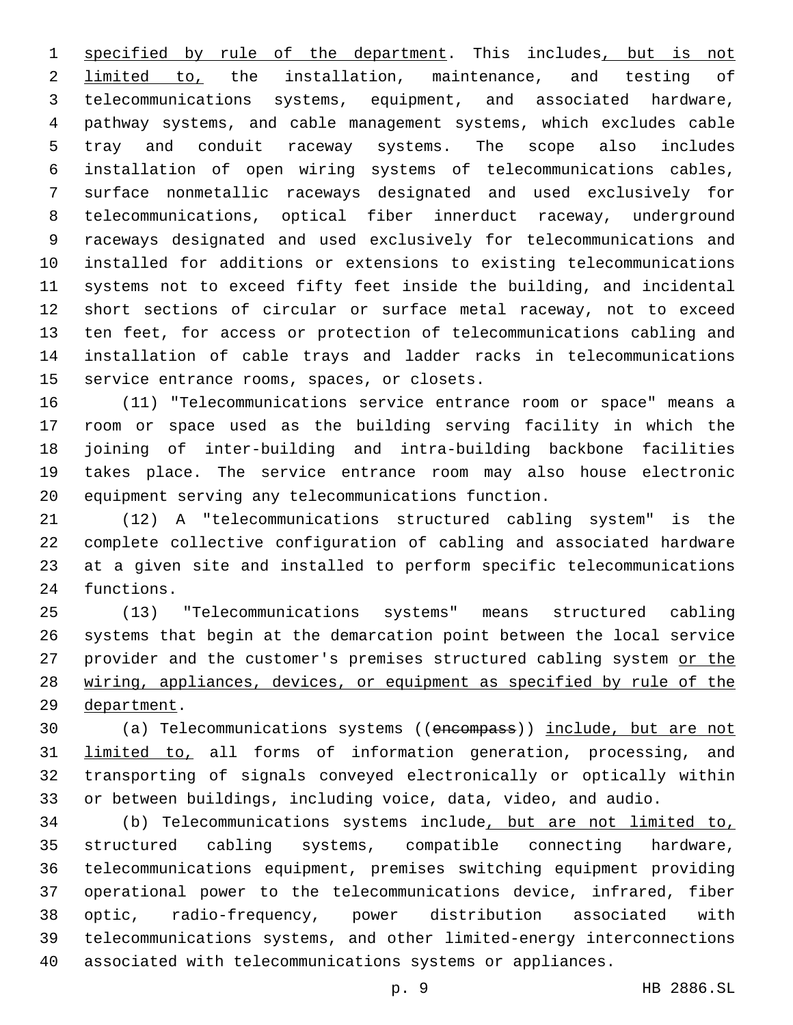specified by rule of the department. This includes, but is not 2 limited to, the installation, maintenance, and testing of telecommunications systems, equipment, and associated hardware, pathway systems, and cable management systems, which excludes cable tray and conduit raceway systems. The scope also includes installation of open wiring systems of telecommunications cables, surface nonmetallic raceways designated and used exclusively for telecommunications, optical fiber innerduct raceway, underground raceways designated and used exclusively for telecommunications and installed for additions or extensions to existing telecommunications systems not to exceed fifty feet inside the building, and incidental short sections of circular or surface metal raceway, not to exceed ten feet, for access or protection of telecommunications cabling and installation of cable trays and ladder racks in telecommunications 15 service entrance rooms, spaces, or closets.

 (11) "Telecommunications service entrance room or space" means a room or space used as the building serving facility in which the joining of inter-building and intra-building backbone facilities takes place. The service entrance room may also house electronic equipment serving any telecommunications function.

 (12) A "telecommunications structured cabling system" is the complete collective configuration of cabling and associated hardware at a given site and installed to perform specific telecommunications 24 functions.

 (13) "Telecommunications systems" means structured cabling systems that begin at the demarcation point between the local service 27 provider and the customer's premises structured cabling system or the wiring, appliances, devices, or equipment as specified by rule of the 29 department.

 (a) Telecommunications systems ((encompass)) include, but are not 31 limited to, all forms of information generation, processing, and transporting of signals conveyed electronically or optically within or between buildings, including voice, data, video, and audio.

 (b) Telecommunications systems include, but are not limited to, structured cabling systems, compatible connecting hardware, telecommunications equipment, premises switching equipment providing operational power to the telecommunications device, infrared, fiber optic, radio-frequency, power distribution associated with telecommunications systems, and other limited-energy interconnections associated with telecommunications systems or appliances.